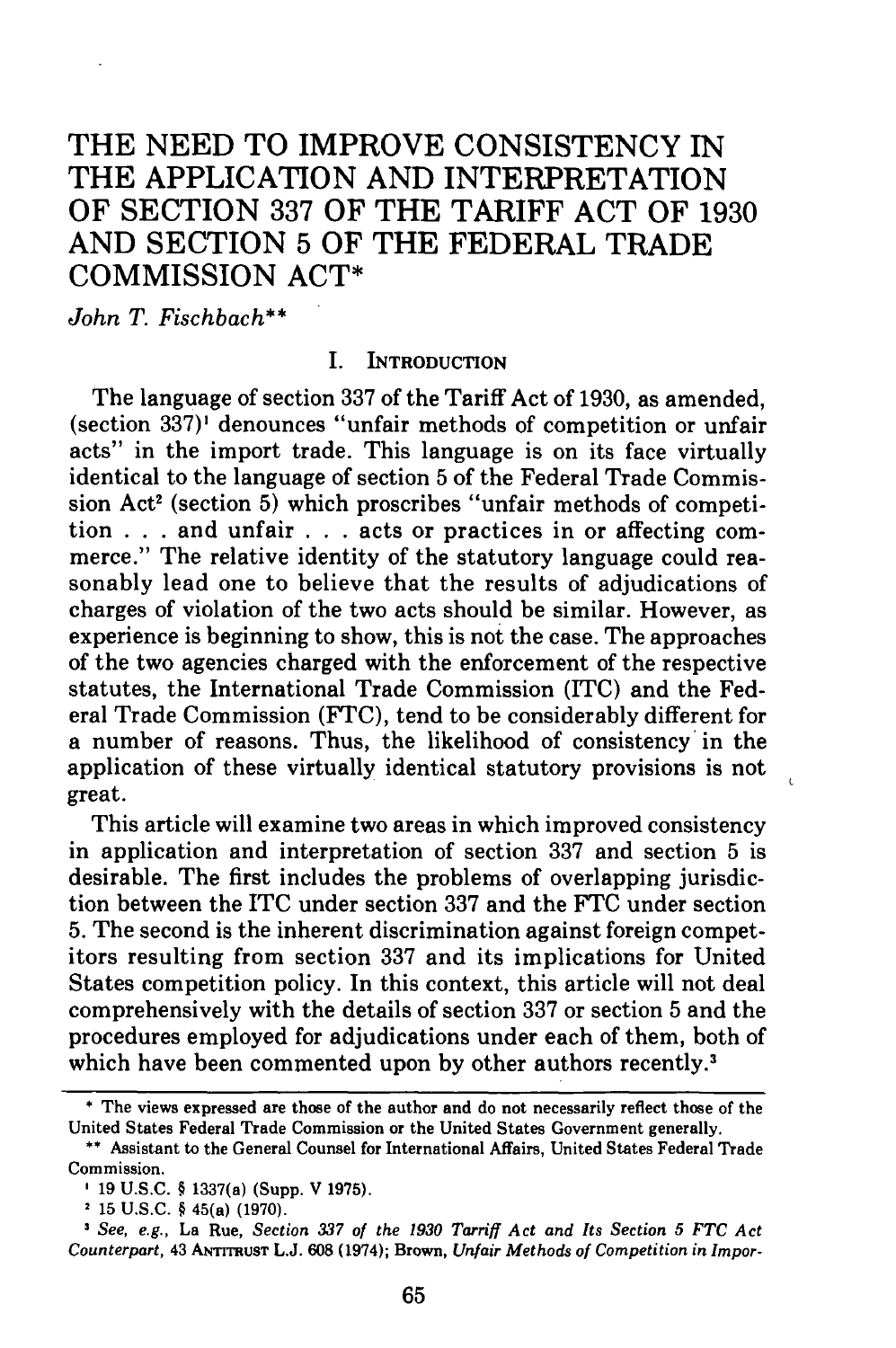# THE **NEED** TO IMPROVE **CONSISTENCY** IN THE **APPLICATION AND** INTERPRETATION OF **SECTION 337** OF THE TARIFF **ACT** OF **1930 AND** SECTION **5** OF THE FEDERAL TRADE COMMISSION **ACT\***

*John T. Fischbach\*\**

#### I. **INTRODUCTION**

The language of section **337** of the Tariff Act of **1930,** as amended, (section **337)'** denounces "unfair methods of competition or unfair acts" in the import trade. This language is on its face virtually identical to the language of section **5** of the Federal Trade Commission Act<sup>2</sup> (section 5) which proscribes "unfair methods of competition **. . .** and unfair **. . .** acts or practices in or affecting commerce." The relative identity of the statutory language could reasonably lead one to believe that the results of adjudications of charges of violation of the two acts should be similar. However, as experience is beginning to show, this is not the case. The approaches of the two agencies charged with the enforcement of the respective statutes, the International Trade Commission **(ITC)** and the Federal Trade Commission **(FTC),** tend to be considerably different for a number of reasons. Thus, the likelihood of consistency' in the application of these virtually identical statutory provisions is not great.

This article will examine two areas in which improved consistency in application and interpretation of section **337** and section **5** is desirable. The first includes the problems of overlapping jurisdiction between the ITC under section **337** and the **FTC** under section **5.** The second is the inherent discrimination against foreign competitors resulting from section **337** and its implications for United States competition policy. In this context, this article will not deal comprehensively with the details of section **337** or section **5** and the procedures employed for adjudications under each of them, both of which have been commented upon by other authors recently.<sup>3</sup>

 $\overline{1}$ 

<sup>\*</sup> The views expressed are those of the author and do not necessarily reflect those of the United States Federal Trade Commission or the United States Government generally.

**<sup>\*\*</sup>** Assistant to the General Counsel for International Affairs, United States Federal Trade Commission.

**<sup>19</sup> U.S.C.** § 1337(a) (Supp. V **1975).**

**<sup>15</sup> U.S.C.** § 45(a) **(1970).**

*See, e.g.,* La Rue, *Section 337 of the 1930 Tarriff Act and Its Section 5 FTC Act Counterpart,* 43 **ANTrrRUST L.J. 608** (1974); Brown, *Unfair Methods of Competition in Impor-*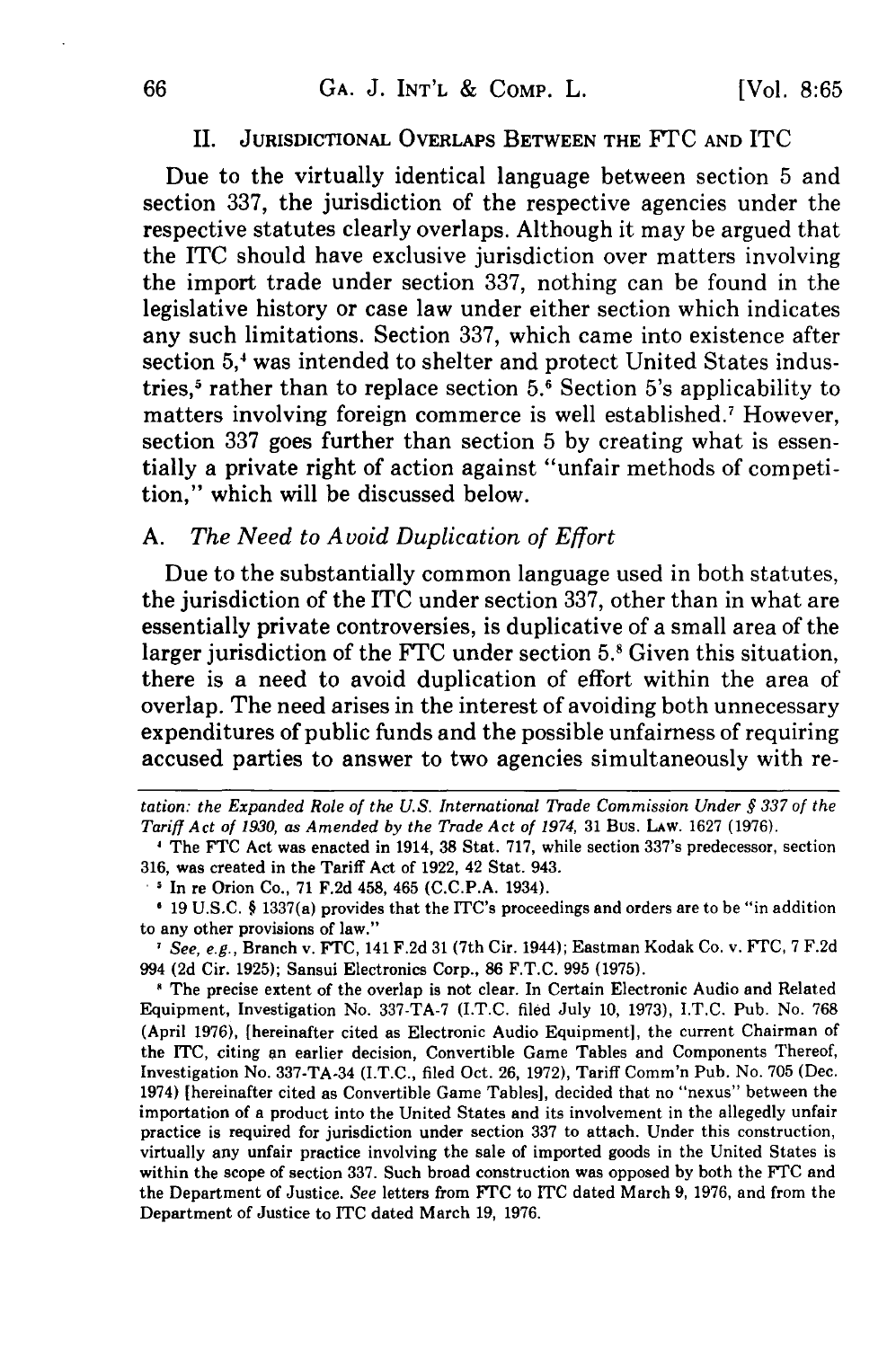#### II. JURISDICTIONAL OVERLAPS BETWEEN THE FTC **AND** ITC

Due to the virtually identical language between section **5** and section **337,** the jurisdiction of the respective agencies under the respective statutes clearly overlaps. Although it may be argued that the **ITC** should have exclusive jurisdiction over matters involving the import trade under section **337,** nothing can be found in the legislative history or case law under either section which indicates any such limitations. Section **337,** which came into existence after section 5,<sup>4</sup> was intended to shelter and protect United States industries,<sup>5</sup> rather than to replace section 5.<sup>6</sup> Section 5's applicability to matters involving foreign commerce is well established.' However, section **337** goes further than section **5 by** creating what is essentially a private right of action against "unfair methods of competition," which will be discussed below.

## *A. The Need to Avoid Duplication of Effort*

Due to the substantially common language used in both statutes, the jurisdiction of the **ITC** under section **337,** other than in what are essentially private controversies, is duplicative of a small area of the larger jurisdiction of the FTC under section 5.<sup>8</sup> Given this situation, there is a need to avoid duplication of effort within the area of overlap. The need arises in the interest of avoiding both unnecessary expenditures of public funds and the possible unfairness of requiring accused parties to answer to two agencies simultaneously with re-

\* In re Orion Co., 71 F.2d 458, 465 (C.C.P.A. 1934).

*I See, e.g.,* Branch v. FTC, 141 F.2d 31 (7th Cir. 1944); Eastman Kodak Co. v. FTC, 7 F.2d 994 **(2d** Cir. 1925); Sansui Electronics Corp., 86 F.T.C. 995 (1975).

**1** The precise extent of the overlap is not clear. In Certain Electronic Audio and Related Equipment, Investigation No. 337-TA-7 (I.T.C. filed July 10, 1973), I.T.C. Pub. No. 768 (April 1976), [hereinafter cited as Electronic Audio Equipment], the current Chairman of the ITC, citing an earlier decision, Convertible Game Tables and Components Thereof, Investigation No. 337-TA-34 (I.T.C., filed Oct. 26, 1972), Tariff Comm'n Pub. No. 705 (Dec. 1974) [hereinafter cited as Convertible Game Tables], decided that no "nexus" between the importation of a product into the United States and its involvement in the allegedly unfair practice is required for jurisdiction under section 337 to attach. Under this construction, virtually any unfair practice involving the sale of imported goods in the United States is within the scope of section **337.** Such broad construction was opposed **by** both the **FTC** and the Department of Justice. *See* letters from **FTC** to ITC dated March 9, 1976, and from the Department of Justice to ITC dated March 19, 1976.

*tation: the Expanded Role of the U.S. International Trade Commission Under § 337 of the Tariff Act of 1930, as Amended by the Trade Act of 1974,* 31 Bus. LAw. 1627 (1976).

**<sup>1</sup>** The FTC Act was enacted in 1914, 38 Stat. 717, while section 337's predecessor, section 316, was created in the Tariff Act of 1922, 42 Stat. 943.

<sup>19</sup> U.S.C. § 1337(a) provides that the ITC's proceedings and orders are to be "in addition to any other provisions of law."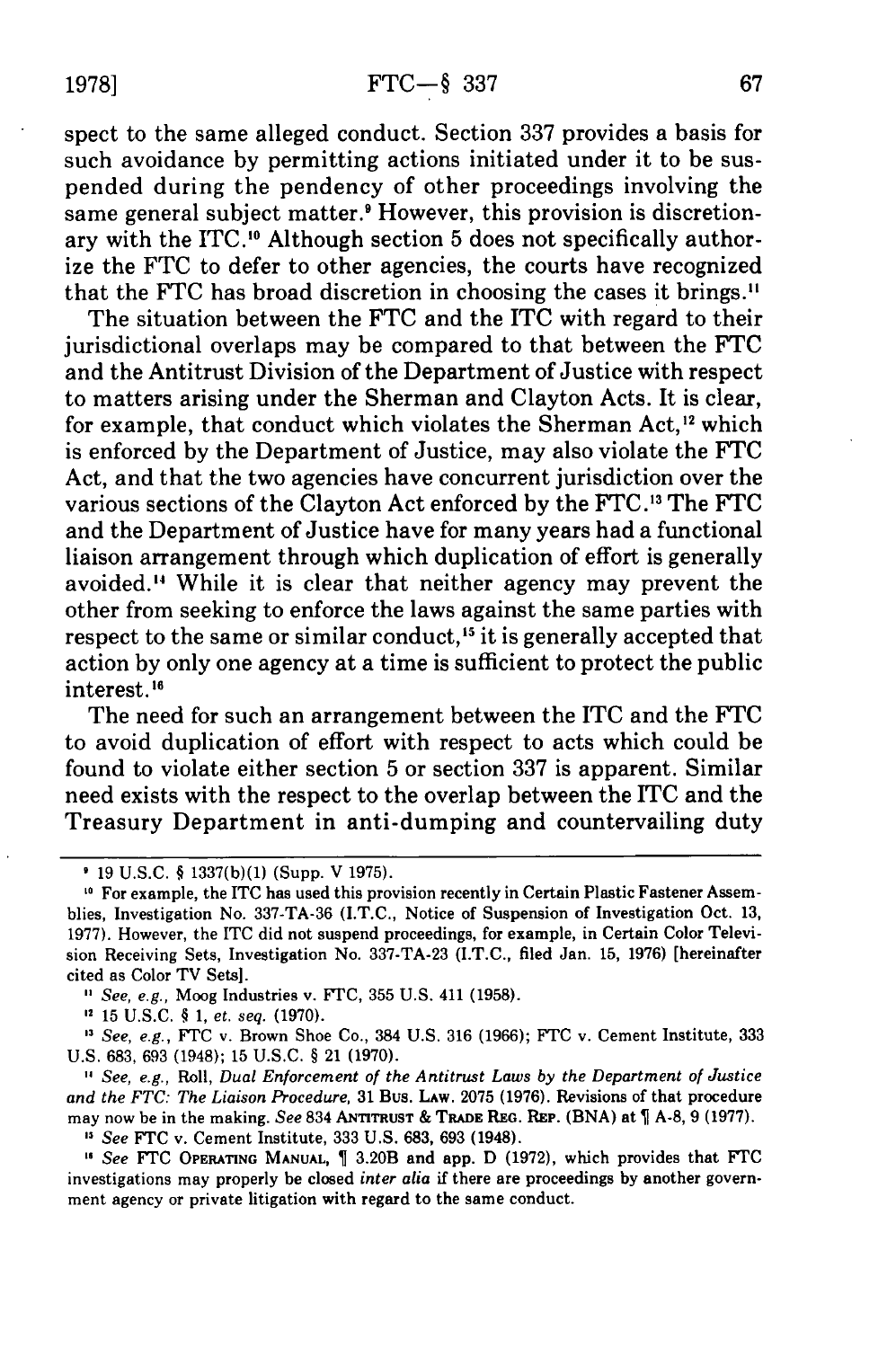spect to the same alleged conduct. Section 337 provides a basis for such avoidance by permitting actions initiated under it to be suspended during the pendency of other proceedings involving the same general subject matter.<sup>9</sup> However, this provision is discretionary with the ITC.<sup>10</sup> Although section 5 does not specifically authorize the FTC to defer to other agencies, the courts have recognized that the FTC has broad discretion in choosing the cases it brings."

The situation between the FTC and the ITC with regard to their jurisdictional overlaps may be compared to that between the FTC and the Antitrust Division of the Department of Justice with respect to matters arising under the Sherman and Clayton Acts. It is clear, for example, that conduct which violates the Sherman Act,<sup>12</sup> which is enforced by the Department of Justice, may also violate the FTC Act, and that the two agencies have concurrent jurisdiction over the various sections of the Clayton Act enforced by the FTC.<sup>13</sup> The FTC and the Department of Justice have for many years had a functional liaison arrangement through which duplication of effort is generally avoided.'" While it is clear that neither agency may prevent the other from seeking to enforce the laws against the same parties with respect to the same or similar conduct,<sup>15</sup> it is generally accepted that action by only one agency at a time is sufficient to protect the public interest.<sup>16</sup>

The need for such an arrangement between the ITC and the FTC to avoid duplication of effort with respect to acts which could be found to violate either section 5 or section 337 is apparent. Similar need exists with the respect to the overlap between the ITC and the Treasury Department in anti-dumping and countervailing duty

" *See, e.g.,* Roll, *Dual Enforcement of the Antitrust Laws by the Department of Justice and the FTC: The Liaison Procedure,* 31 Bus. LAW. 2075 (1976). Revisions of that procedure may now be in the making. *See* 834 **ANTITRUST** & **TRADEREG.** REP. **(BNA)** at **A-8, 9 (1977).**

, *See* FTC v. Cement Institute, 333 U.S. 683, 693 (1948).

, *See* FTC **OPERATING MANUAL,** 3.20B and app. D (1972), which provides that FTC investigations may properly be closed *inter alia* if there are proceedings by another government agency or private litigation with regard to the same conduct.

<sup>19</sup> U.S.C. § 1337(b)(1) (Supp. V 1975).

**<sup>0</sup>** For example, the ITC has used this provision recently in Certain Plastic Fastener Assemblies, Investigation No. 337-TA-36 (I.T.C., Notice of Suspension of Investigation Oct. 13, 1977). However, the ITC did not suspend proceedings, for example, in Certain Color Television Receiving Sets, Investigation No. 337-TA-23 (I.T.C., filed Jan. 15, 1976) [hereinafter cited as Color TV Sets].

*See, e.g.,* Moog Industries v. FTC, 355 U.S. 411 (1958).

**<sup>2</sup>**15 U.S.C. § 1, *et. seq.* (1970).

**<sup>&#</sup>x27;** *See, e.g.,* FTC v. Brown Shoe Co., 384 U.S. 316 (1966); FTC v. Cement Institute, 333 U.S. 683, 693 (1948); 15 U.S.C. § 21 (1970).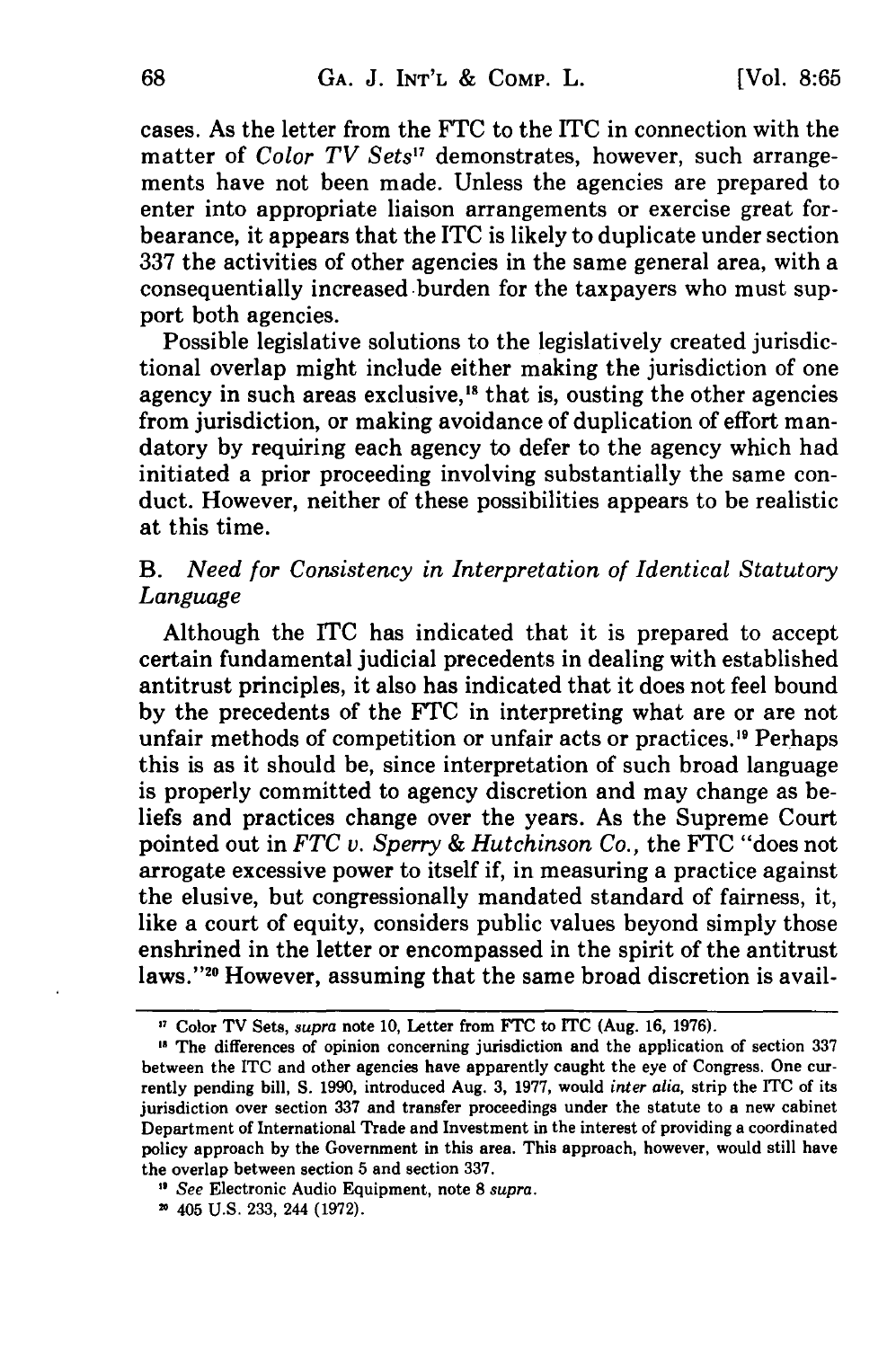cases. As the letter from the **FTC** to the ITC in connection with the matter of *Color TV Sets"* demonstrates, however, such arrangements have not been made. Unless the agencies are prepared to enter into appropriate liaison arrangements or exercise great forbearance, it appears that the ITC is likely to duplicate under section 337 the activities of other agencies in the same general area, with a consequentially increased burden for the taxpayers who must support both agencies.

Possible legislative solutions to the legislatively created jurisdictional overlap might include either making the jurisdiction of one agency in such areas exclusive, $18$  that is, ousting the other agencies from jurisdiction, or making avoidance of duplication of effort mandatory by requiring each agency to defer to the agency which had initiated a prior proceeding involving substantially the same conduct. However, neither of these possibilities appears to be realistic at this time.

# *B. Need for Consistency in Interpretation of Identical Statutory* Language

Although the ITC has indicated that it is prepared to accept certain fundamental judicial precedents in dealing with established antitrust principles, it also has indicated that it does not feel bound by the precedents of the FTC in interpreting what are or are not unfair methods of competition or unfair acts or practices.<sup>19</sup> Perhaps this is as it should be, since interpretation of such broad language is properly committed to agency discretion and may change as beliefs and practices change over the years. As the Supreme Court pointed out in *FTC v. Sperry & Hutchinson Co.,* the FTC "does not arrogate excessive power to itself if, in measuring a practice against the elusive, but congressionally mandated standard of fairness, it, like a court of equity, considers public values beyond simply those enshrined in the letter or encompassed in the spirit of the antitrust laws."<sup>20</sup> However, assuming that the same broad discretion is avail-

<sup>7</sup> Color TV Sets, *supra* note **10,** Letter from FTC to **ITC** (Aug. 16, 1976).

**<sup>\*</sup>** The differences of opinion concerning jurisdiction and the application of section 337 between the ITC and other agencies have apparently caught the eye of Congress. One currently pending bill, **S.** 1990, introduced Aug. 3, 1977, would *inter alia,* strip the ITC of its jurisdiction over section 337 and transfer proceedings under the statute to a new cabinet Department of International Trade and Investment in the interest of providing a coordinated policy approach by the Government in this area. This approach, however, would still have the overlap between section 5 and section 337.

**<sup>&</sup>quot;** *See* Electronic Audio Equipment, note 8 *supra.* **-** 405 U.S. 233, 244 (1972).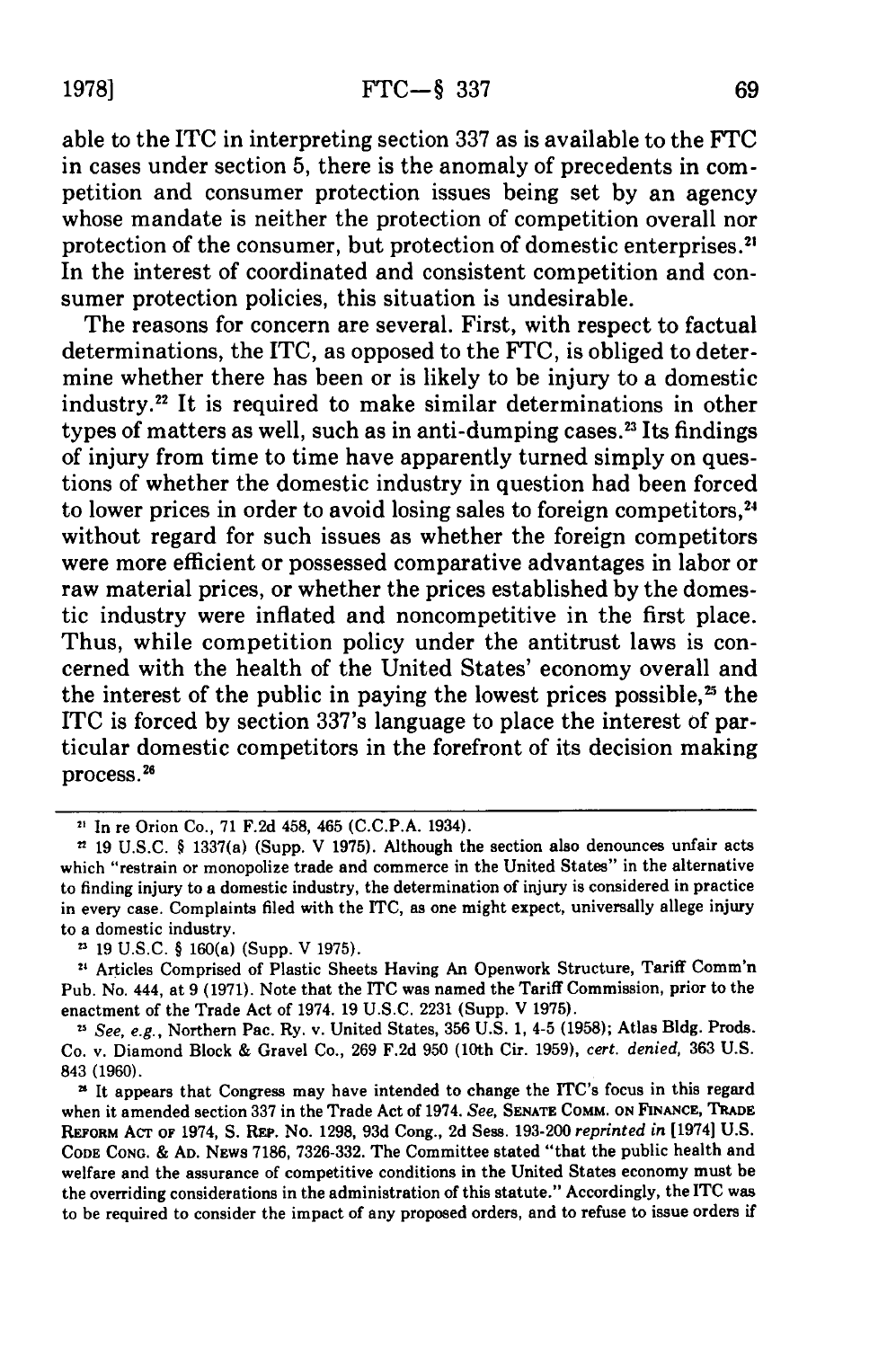able to the **ITC** in interpreting section **337** as is available to the **FTC** in cases under section **5,** there is the anomaly of precedents in competition and consumer protection issues being set **by** an agency whose mandate is neither the protection of competition overall nor protection of the consumer, but protection of domestic enterprises.<sup>2</sup> In the interest of coordinated and consistent competition and consumer protection policies, this situation is undesirable.

The reasons for concern are several. First, with respect to factual determinations, the ITC, as opposed to the **FTC,** is obliged to determine whether there has been or is likely to be injury to a domestic industry.22 It is required to make similar determinations in other types of matters as well, such as in anti-dumping cases.<sup>23</sup> Its findings of injury from time to time have apparently turned simply on questions of whether the domestic industry in question had been forced to lower prices in order to avoid losing sales to foreign competitors,<sup>24</sup> without regard for such issues as whether the foreign competitors were more efficient or possessed comparative advantages in labor or raw material prices, or whether the prices established **by** the domestic industry were inflated and noncompetitive in the first place. Thus, while competition policy under the antitrust laws is concerned with the health of the United States' economy overall and the interest of the public in paying the lowest prices possible, $25$  the ITC is forced **by** section 337's language to place the interest of particular domestic competitors in the forefront of its decision making process . 2

**<sup>21</sup>**In re Orion Co., **71 F.2d** 458, 465 **(C.C.P.A.** 1934).

**<sup>&</sup>quot; 19 U.S.C. §** 1337(a) (Supp. V **1975).** Although the section also denounces unfair acts which "restrain or monopolize trade and commerce in the United States" in the alternative to finding injury to a domestic industry, the determination of injury is considered in practice in every case. Complaints filed with the **ITC,** as one might expect, universally allege injury to a domestic industry.

<sup>21</sup>**19 U.S.C. §** 160(a) (Supp. V **1975).**

**<sup>24</sup>**Articles Comprised of Plastic Sheets Having An Openwork Structure, Tariff Comm'n Pub. No. 444, at **9 (1971).** Note that the ITC was named the Tariff Commission, prior to the enactment of the Trade Act of 1974. **19 U.S.C. 2231** (Supp. V **1975).**

<sup>23</sup>*See, e.g.,* Northern Pac. Ry. v. United States, **356 U.S. 1,** 4-5 **(1958);** Atlas **Bldg.** Prods. Co. v. Diamond Block **&** Gravel Co., **269 F.2d 950** (10th Cir. **1959),** *cert. denied,* **363 U.S. 843 (1960).**

**<sup>&</sup>quot;** It appears that Congress may have intended to change the ITC's focus in this regard when it amended section **337** in the Trade Act of 1974. *See,* **SENATE COMM. ON FINANCE, TRADE REFORM AcT OF** 1974, **S.** RE. No. **1298, 93d** Cong., **2d** Sess. **193-200** *reprinted in* [1974] **U.S. CODE CONG. & AD. NEWS 7186, 7326-332.** The Committee stated "that the public health and welfare and the assurance of competitive conditions in the United States economy must be the overriding considerations in the administration of this statute." Accordingly, the **ITC** was to be required to consider the impact of any proposed orders, and to refuse to issue orders if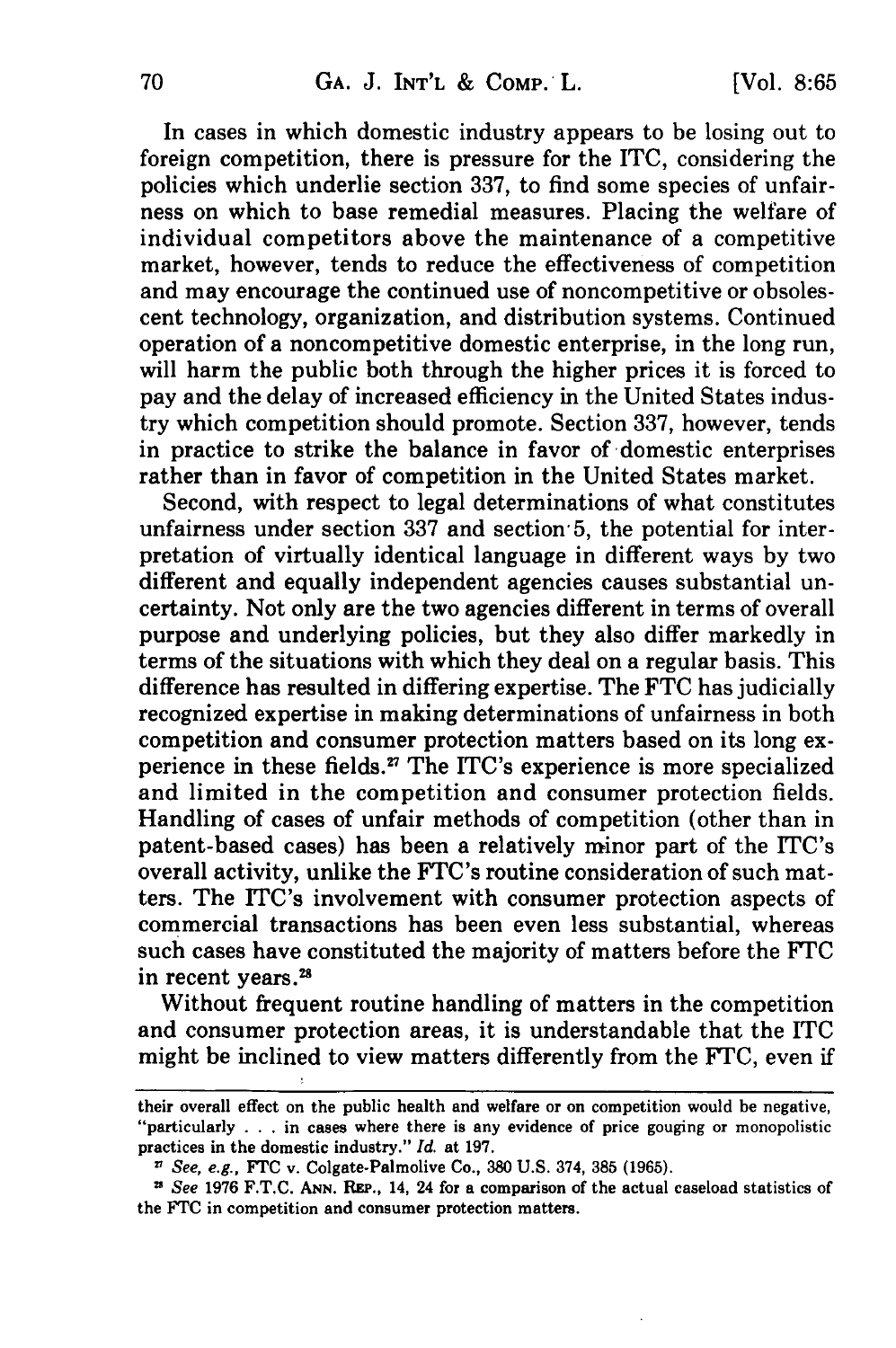In cases in which domestic industry appears to be losing out to foreign competition, there is pressure for the ITC, considering the policies which underlie section 337, to find some species of unfairness on which to base remedial measures. Placing the welfare of individual competitors above the maintenance of a competitive market, however, tends to reduce the effectiveness of competition and may encourage the continued use of noncompetitive or obsolescent technology, organization, and distribution systems. Continued operation of a noncompetitive domestic enterprise, in the long run, will harm the public both through the higher prices it is forced to pay and the delay of increased efficiency in the United States industry which competition should promote. Section 337, however, tends in practice to strike the balance in favor of domestic enterprises rather than in favor of competition in the United States market.

Second, with respect to legal determinations of what constitutes unfairness under section 337 and section 5, the potential for interpretation of virtually identical language in different ways by two different and equally independent agencies causes substantial uncertainty. Not only are the two agencies different in terms of overall purpose and underlying policies, but they also differ markedly in terms of the situations with which they deal on a regular basis. This difference has resulted in differing expertise. The FTC has judicially recognized expertise in making determinations of unfairness in both competition and consumer protection matters based on its long experience in these fields.<sup>27</sup> The ITC's experience is more specialized and limited in the competition and consumer protection fields. Handling of cases of unfair methods of competition (other than in patent-based cases) has been a relatively minor part of the ITC's overall activity, unlike the FTC's routine consideration of such matters. The ITC's involvement with consumer protection aspects of commercial transactions has been even less substantial, whereas such cases have constituted the majority of matters before the FTC in recent years.<sup>28</sup>

Without frequent routine handling of matters in the competition and consumer protection areas, it is understandable that the ITC might be inclined to view matters differently from the FTC, even if

their overall effect on the public health and welfare or on competition would be negative, "particularly . . . in cases where there is any evidence of price gouging or monopolistic practices in the domestic industry." *Id.* at 197.

*See, e.g.,* FrC v. Colgate-Palmolive Co., 380 U.S. 374, 385 **(1965).**

**<sup>&</sup>quot;** *See* 1976 F.T.C. **ANN.** REP., 14, 24 for a comparison of the actual caseload statistics of the FTC in competition and consumer protection matters.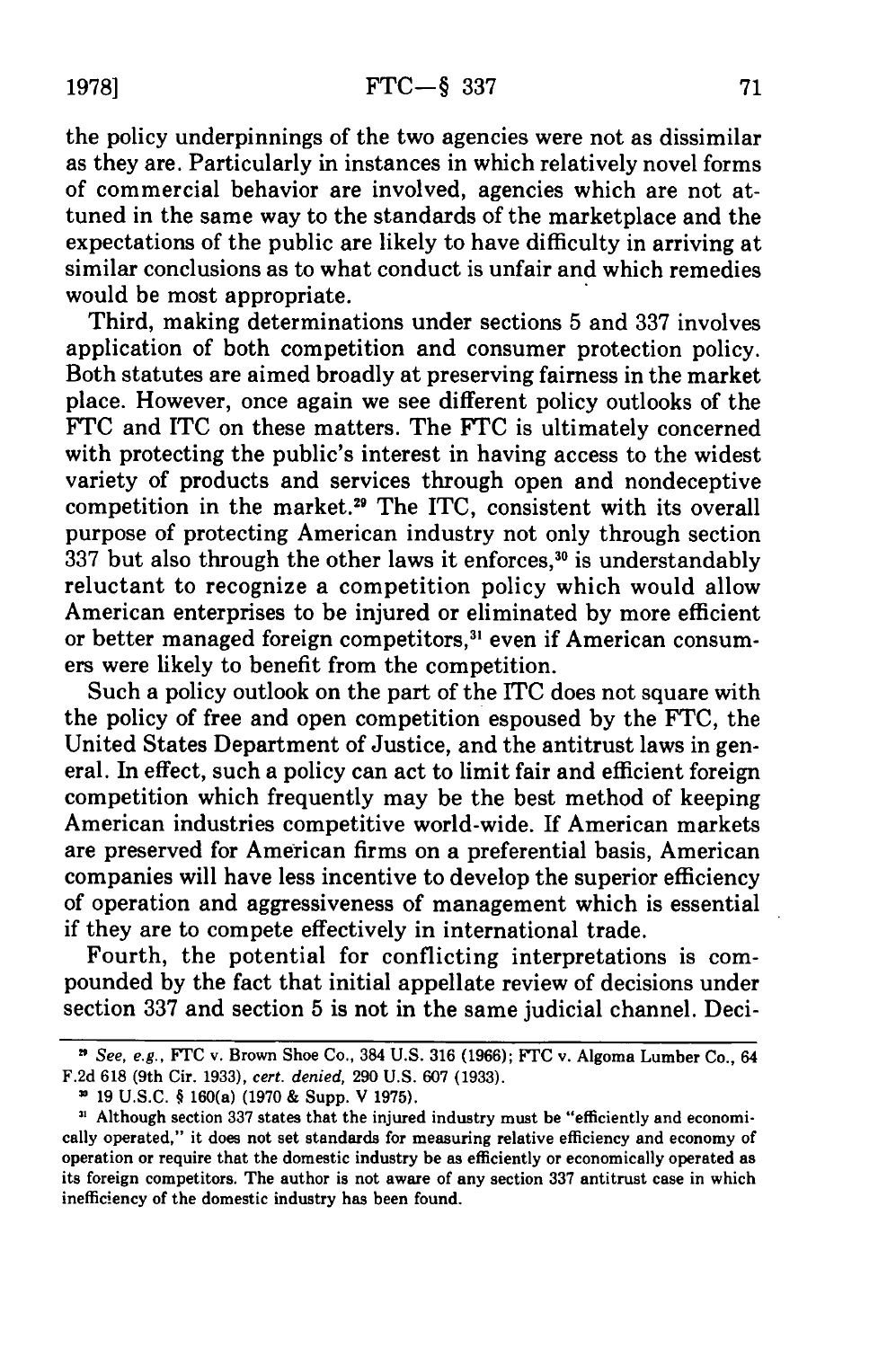the policy underpinnings of the two agencies were not as dissimilar as they are. Particularly in instances in which relatively novel forms of commercial behavior are involved, agencies which are not attuned in the same way to the standards of the marketplace and the expectations of the public are likely to have difficulty in arriving at similar conclusions as to what conduct is unfair and which remedies would be most appropriate.

Third, making determinations under sections 5 and 337 involves application of both competition and consumer protection policy. Both statutes are aimed broadly at preserving fairness in the market place. However, once again we see different policy outlooks of the FTC and ITC on these matters. The FTC is ultimately concerned with protecting the public's interest in having access to the widest variety of products and services through open and nondeceptive competition in the market.<sup>29</sup> The ITC, consistent with its overall purpose of protecting American industry not only through section  $337$  but also through the other laws it enforces,<sup>30</sup> is understandably reluctant to recognize a competition policy which would allow American enterprises to be injured or eliminated by more efficient or better managed foreign competitors,<sup>31</sup> even if American consumers were likely to benefit from the competition.

Such a policy outlook on the part of the ITC does not square with the policy of free and open competition espoused by the FTC, the United States Department of Justice, and the antitrust laws in general. In effect, such a policy can act to limit fair and efficient foreign competition which frequently may be the best method of keeping American industries competitive world-wide. If American markets are preserved for American firms on a preferential basis, American companies will have less incentive to develop the superior efficiency of operation and aggressiveness of management which is essential if they are to compete effectively in international trade.

Fourth, the potential for conflicting interpretations is compounded by the fact that initial appellate review of decisions under section 337 and section 5 is not in the same judicial channel. Deci-

**<sup>&</sup>quot;** *See, e.g.,* FTC v. Brown Shoe Co., 384 **U.S. 316 (1966); FTC** v. Algoma Lumber Co., 64 **F.2d 618** (9th Cir. **1933),** *cert. denied,* **290 U.S. 607 (1933).**

**<sup>19</sup> U.S.C.** § 160(a) **(1970 &** Supp. V **1975).**

**SI** Although section **337** states that the injured industry must be "efficiently and economically operated," it does not set standards for measuring relative efficiency and economy of operation or require that the domestic industry be as efficiently or economically operated as its foreign competitors. The author is not aware of any section **337** antitrust case in which inefficiency of the domestic industry has been found.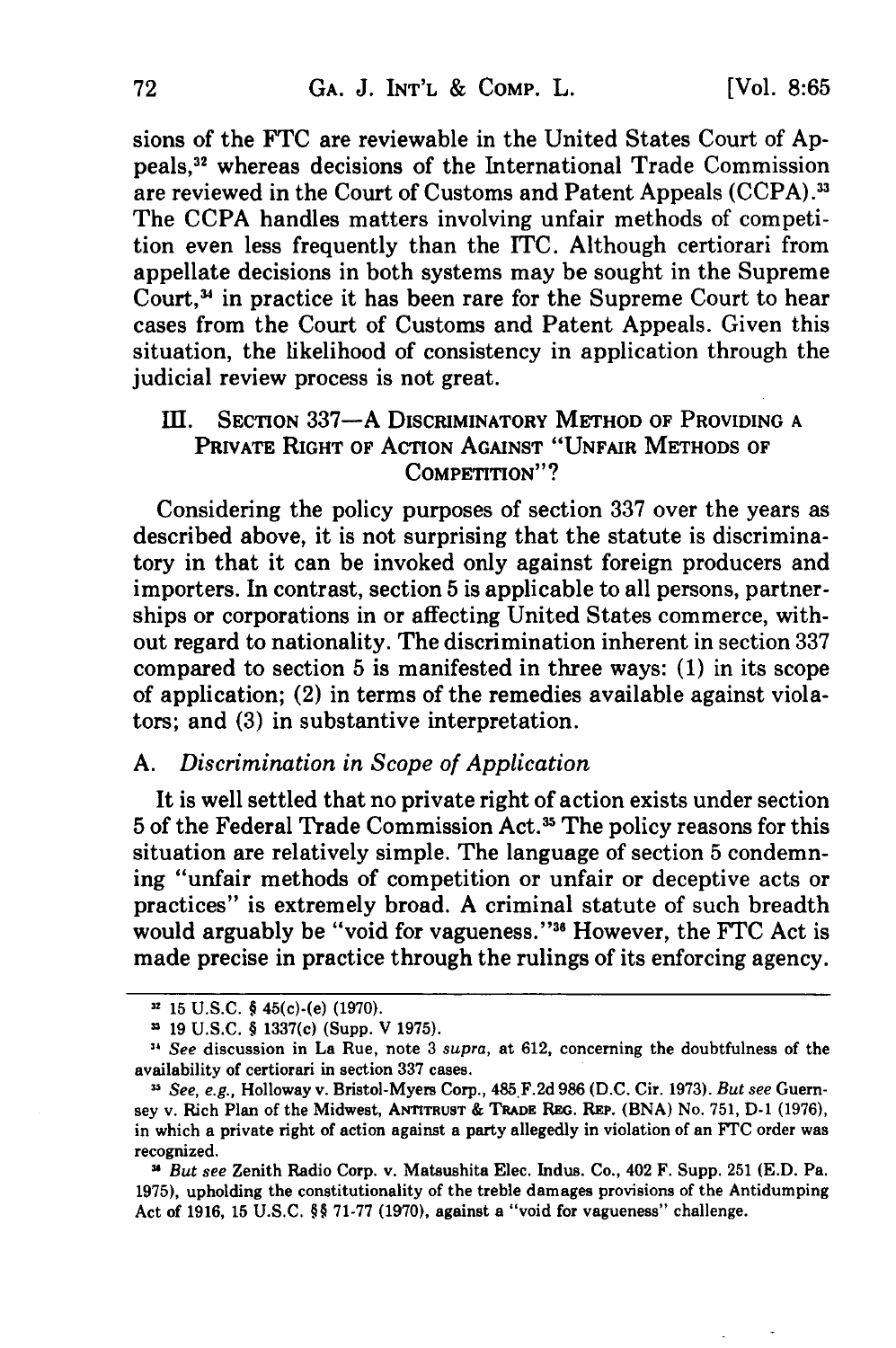sions of the FTC are reviewable in the United States Court of Appeals, 2 whereas decisions of the International Trade Commission are reviewed in the Court of Customs and Patent Appeals (CCPA).33 The CCPA handles matters involving unfair methods of competition even less frequently than the ITC. Although certiorari from appellate decisions in both systems may be sought in the Supreme Court,<sup>34</sup> in practice it has been rare for the Supreme Court to hear cases from the Court of Customs and Patent Appeals. Given this situation, the likelihood of consistency in application through the judicial review process is not great.

## III. SECTION 337-A DISCRIMINATORY METHOD OF PROVIDING A PRIVATE RIGHT OF ACTION **AGAINST** "UNFAIR **METHODS** OF **COMPETITION"?**

Considering the policy purposes of section **337** over the years as described above, it is not surprising that the statute is discriminatory in that it can be invoked only against foreign producers and importers. In contrast, section **5** is applicable to all persons, partnerships or corporations in or affecting United States commerce, without regard to nationality. The discrimination inherent in section **337** compared to section **5** is manifested in three ways: **(1)** in its scope of application; (2) in terms of the remedies available against violators; and **(3)** in substantive interpretation.

## *A. Discrimination in Scope of Application*

It is well settled that no private right of action exists under section 5 of the Federal Trade Commission Act.3 The policy reasons for this situation are relatively simple. The language of section 5 condemning "unfair methods of competition or unfair or deceptive acts or practices" is extremely broad. A criminal statute of such breadth would arguably be "void for vagueness."<sup>36</sup> However, the FTC Act is made precise in practice through the rulings of its enforcing agency.

*u* 15 **U.S.C.** § 45(c)-(e) **(1970).**

**<sup>19</sup> U.S.C.** § 1337(c) (Supp. V **1975).**

*<sup>&</sup>quot;* See discussion in La Rue, note **3** supra, at **612,** concerning the doubtfulness of the availability of certiorari in section **337** cases.

<sup>&</sup>quot; See, e.g., Holloway v. Bristol-Myers Corp., 485. **F.2d 986 (D.C.** Cir. **1973).** But see Guernsey v. Rich Plan of the Midwest, **ANITRUST & TRADE** REG. REP. **(BNA)** No. **751, D-1 (1976),** in which a private right of action against a party allegedly in violation of an **FTC** order was recognized.

*N,* But see Zenith Radio Corp. v. Matsushita Elec. Indus. Co., 402 F. Supp. **251 (E.D.** Pa. **1975),** upholding the constitutionality of the treble damages provisions of the Antidumping Act of **1916, 15 U.S.C.** §§ **71-77 (1970),** against a "void for vagueness" challenge.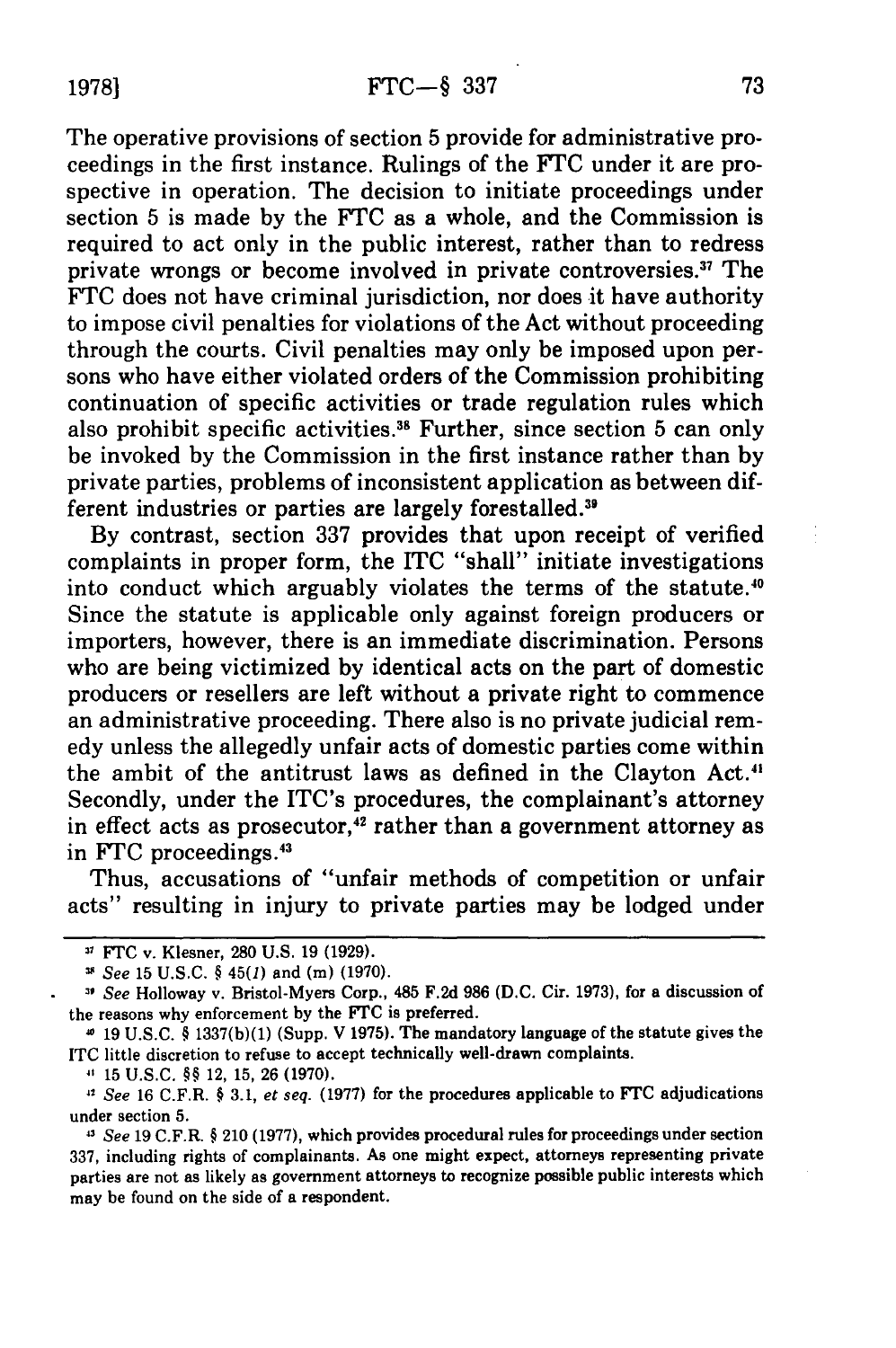The operative provisions of section 5 provide for administrative proceedings in the first instance. Rulings of the **FTC** under it are prospective in operation. The decision to initiate proceedings under section 5 is made by the FTC as a whole, and the Commission is required to act only in the public interest, rather than to redress private wrongs or become involved in private controversies.<sup>37</sup> The FTC does not have criminal jurisdiction, nor does it have authority to impose civil penalties for violations of the Act without proceeding through the courts. Civil penalties may only be imposed upon persons who have either violated orders of the Commission prohibiting continuation of specific activities or trade regulation rules which also prohibit specific activities.<sup>38</sup> Further, since section 5 can only be invoked by the Commission in the first instance rather than by private parties, problems of inconsistent application as between different industries or parties are largely forestalled.<sup>39</sup>

By contrast, section 337 provides that upon receipt of verified complaints in proper form, the ITC "shall" initiate investigations into conduct which arguably violates the terms of the statute.<sup>40</sup> Since the statute is applicable only against foreign producers or importers, however, there is an immediate discrimination. Persons who are being victimized by identical acts on the part of domestic producers or resellers are left without a private right to commence an administrative proceeding. There also is no private judicial remedy unless the allegedly unfair acts of domestic parties come within the ambit of the antitrust laws as defined in the Clayton Act." Secondly, under the ITC's procedures, the complainant's attorney in effect acts as prosecutor,<sup>42</sup> rather than a government attorney as in FTC proceedings.<sup>43</sup>

Thus, accusations of "unfair methods of competition or unfair acts" resulting in injury to private parties may be lodged under

15 **U.S.C.** §§ 12, **15, 26 (1970).**

*' See* **16** C.F.R. § **3.1,** *et seq.* **(1977)** for the procedures applicable to *FTC* adjudications under section **5.**

*<sup>13</sup>See* **19** C.F.R. § 210 **(1977),** which provides procedural rules for proceedings under section **337,** including rights of complainants. As one might expect, attorneys representing private parties are not as likely as government attorneys to recognize possible public interests which may be found on the side of a respondent.

<sup>31</sup>*FTC* v. Klesner, **280** U.S. **19 (1929).**

*See* **15 U.S.C.** § 45(1) and **(m) (1970).**

*<sup>&#</sup>x27; See* Holloway v. Bristol-Myers Corp., 485 **F.2d 986 (D.C.** Cir. **1973),** for a discussion of the reasons why enforcement **by** the **FTC** is preferred.

**<sup>19</sup> U.S.C.** § **1337(b)(1)** (Supp. V **1975).** The mandatory language of the statute gives the ITC little discretion to refuse to accept technically well-drawn complaints.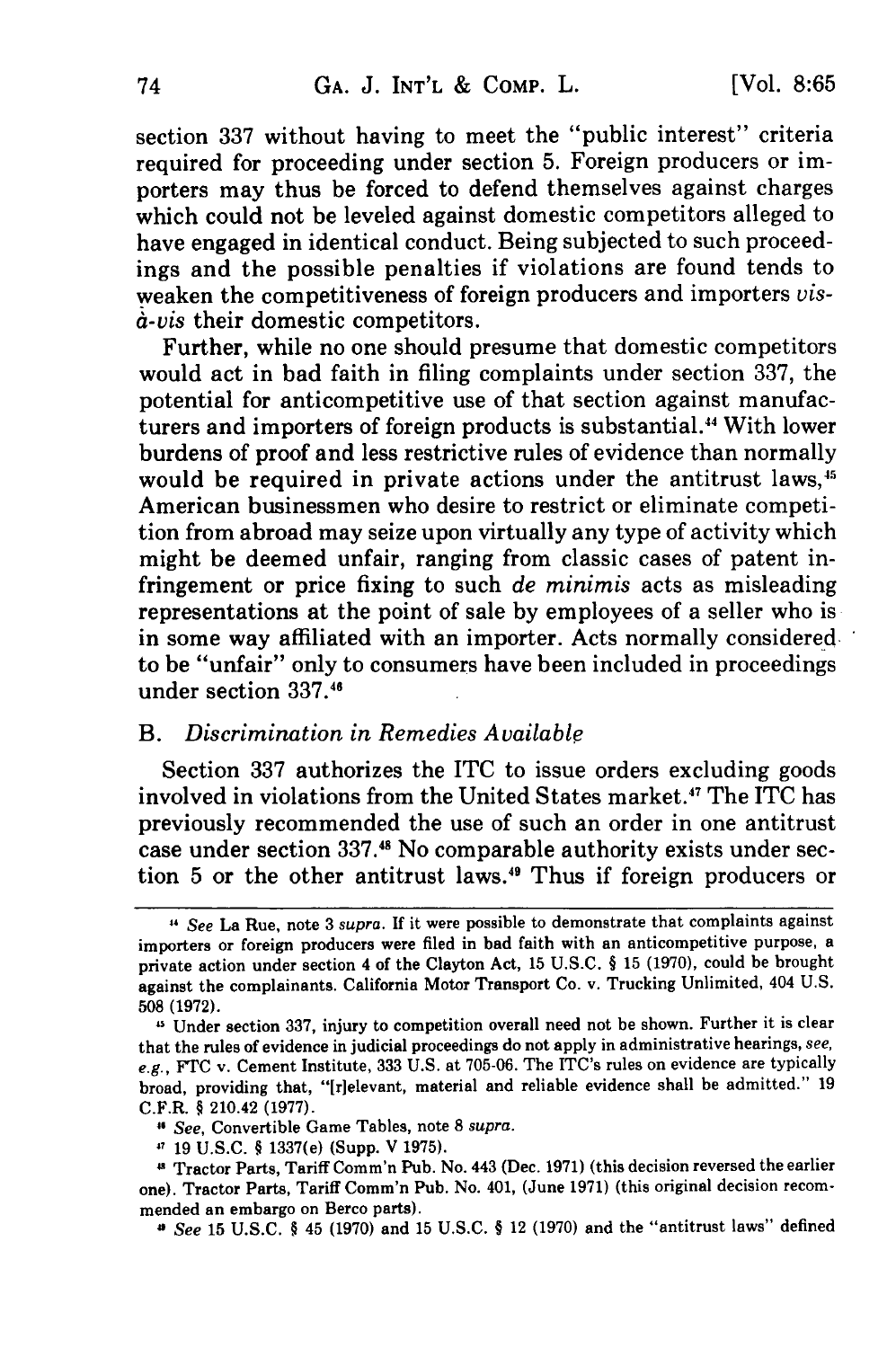section 337 without having to meet the "public interest" criteria required for proceeding under section 5. Foreign producers or importers may thus be forced to defend themselves against charges which could not be leveled against domestic competitors alleged to have engaged in identical conduct. Being subjected to such proceedings and the possible penalties if violations are found tends to weaken the competitiveness of foreign producers and importers *visa-vis* their domestic competitors.

Further, while no one should presume that domestic competitors would act in bad faith in filing complaints under section 337, the potential for anticompetitive use of that section against manufacturers and importers of foreign products is substantial. 4 With lower burdens of proof and less restrictive rules of evidence than normally would be required in private actions under the antitrust laws,<sup>45</sup> American businessmen who desire to restrict or eliminate competition from abroad may seize upon virtually any type of activity which might be deemed unfair, ranging from classic cases of patent infringement or price fixing to such *de minimis* acts as misleading representations at the point of sale by employees of a seller who is in some way affiliated with an importer. Acts normally considered to be "unfair" only to consumers have been included in proceedings under section 337.45

#### *B. Discrimination in Remedies Available*

Section 337 authorizes the ITC to issue orders excluding goods involved in violations from the United States market.<sup>47</sup> The ITC has previously recommended the use of such an order in one antitrust case under section 337.45 No comparable authority exists under section 5 or the other antitrust laws.49 Thus if foreign producers or

**<sup>&</sup>quot;** See La Rue, note 3 supra. If it were possible to demonstrate that complaints against importers or foreign producers were filed in bad faith with an anticompetitive purpose, a private action under section 4 of the Clayton Act, 15 U.S.C. § 15 (1970), could be brought against the complainants. California Motor Transport Co. v. Trucking Unlimited, 404 U.S. 508 (1972).

<sup>&</sup>lt;sup>45</sup> Under section 337, injury to competition overall need not be shown. Further it is clear that the rules of evidence in judicial proceedings do not apply in administrative hearings, see, e.g., FTC v. Cement Institute, 333 U.S. at 705-06. The ITC's rules on evidence are typically broad, providing that, "[r]elevant, material and reliable evidence shall be admitted." 19 C.F.R. § 210.42 (1977).

<sup>&</sup>quot; See, Convertible Game Tables, note **8** supra.

<sup>&#</sup>x27; 19 U.S.C. § 1337(e) (Supp. V 1975).

Tractor Parts, Tariff Comm'n Pub. No. 443 (Dec. 1971) (this decision reversed the earlier one). Tractor Parts, Tariff Comm'n Pub. No. 401, (June 1971) (this original decision recommended an embargo on Berco parts).

<sup>&</sup>quot; See 15 U.S.C. § 45 (1970) and 15 U.S.C. § 12 (1970) and the "antitrust laws" defined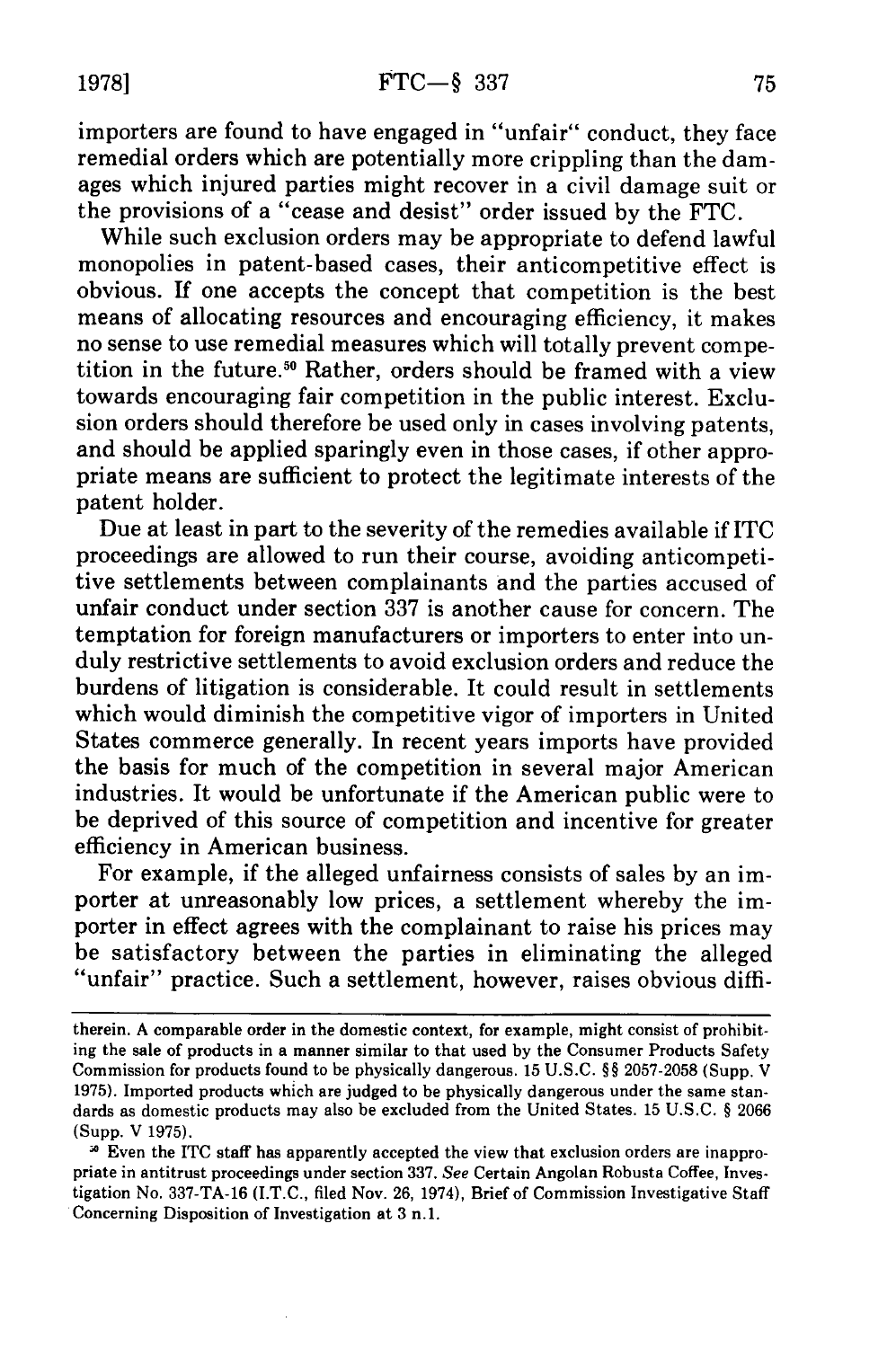importers are found to have engaged in "unfair" conduct, they face remedial orders which are potentially more crippling than the damages which injured parties might recover in a civil damage suit or the provisions of a "cease and desist" order issued by the FTC.

While such exclusion orders may be appropriate to defend lawful monopolies in patent-based cases, their anticompetitive effect is obvious. If one accepts the concept that competition is the best means of allocating resources and encouraging efficiency, it makes no sense to use remedial measures which will totally prevent competition in the future.<sup>50</sup> Rather, orders should be framed with a view towards encouraging fair competition in the public interest. Exclusion orders should therefore be used only in cases involving patents, and should be applied sparingly even in those cases, if other appropriate means are sufficient to protect the legitimate interests of the patent holder.

Due at least in part to the severity of the remedies available if ITC proceedings are allowed to run their course, avoiding anticompetitive settlements between complainants and the parties accused of unfair conduct under section 337 is another cause for concern. The temptation for foreign manufacturers or importers to enter into unduly restrictive settlements to avoid exclusion orders and reduce the burdens of litigation is considerable. It could result in settlements which would diminish the competitive vigor of importers in United States commerce generally. In recent years imports have provided the basis for much of the competition in several major American industries. It would be unfortunate if the American public were to be deprived of this source of competition and incentive for greater efficiency in American business.

For example, if the alleged unfairness consists of sales by an importer at unreasonably low prices, a settlement whereby the importer in effect agrees with the complainant to raise his prices may be satisfactory between the parties in eliminating the alleged "unfair" practice. Such a settlement, however, raises obvious diffi-

therein. A comparable order in the domestic context, for example, might consist of prohibiting the sale of products in a manner similar to that used by the Consumer Products Safety Commission for products found to be physically dangerous. 15 U.S.C. §§ 2057-2058 (Supp. V 1975). Imported products which are judged to be physically dangerous under the same standards as domestic products may also be excluded from the United States. 15 U.S.C. § 2066 (Supp. V 1975).

<sup>&</sup>lt;sup>3</sup> Even the ITC staff has apparently accepted the view that exclusion orders are inappropriate in antitrust proceedings under section 337. *See* Certain Angolan Robusta Coffee, Investigation No. 337-TA-16 (I.T.C., filed Nov. 26, 1974), Brief of Commission Investigative Staff Concerning Disposition of Investigation at 3 n.1.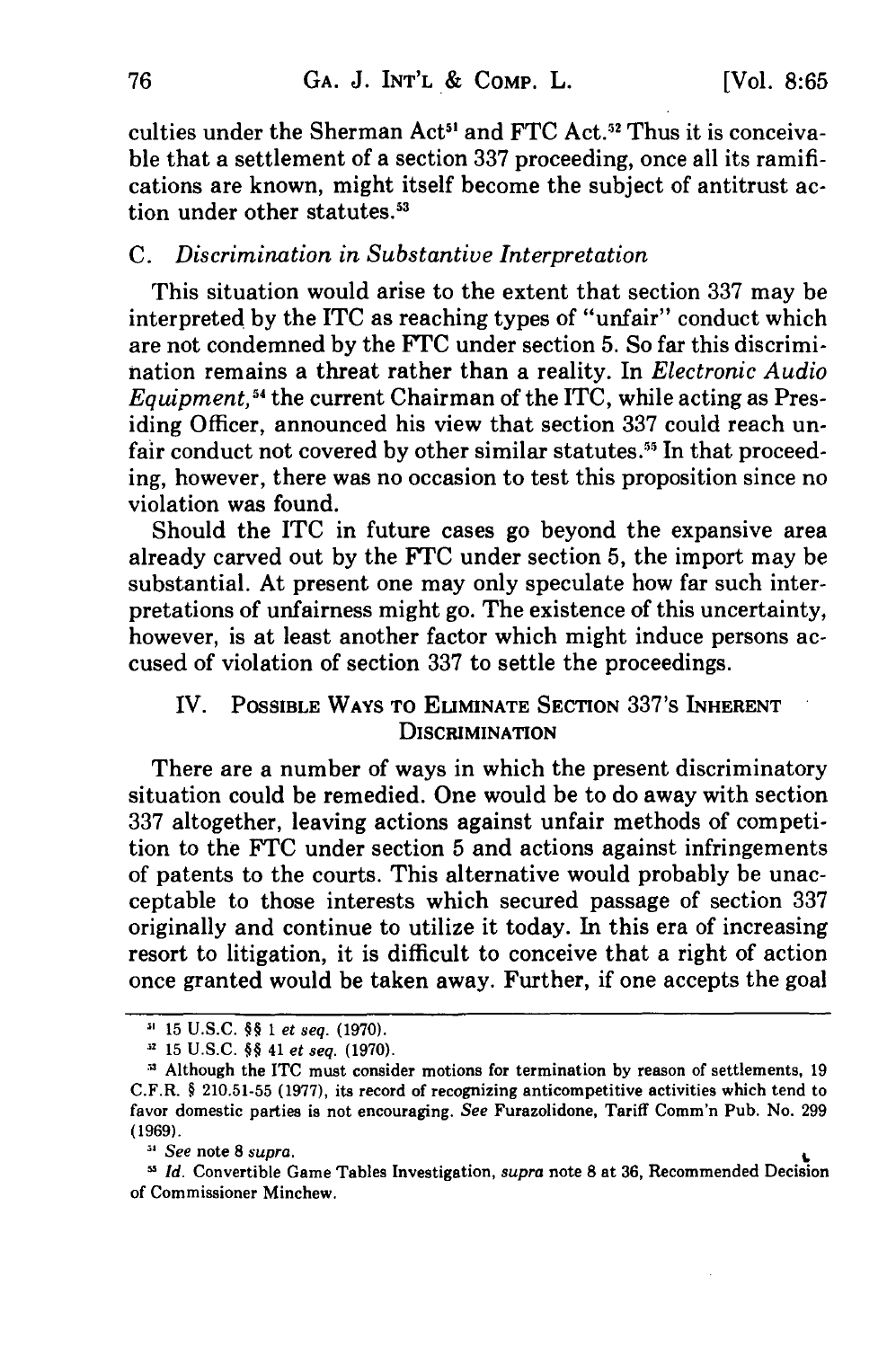culties under the Sherman Act<sup>51</sup> and FTC Act.<sup>52</sup> Thus it is conceivable that a settlement of a section 337 proceeding, once all its ramifications are known, might itself become the subject of antitrust action under other statutes.<sup>53</sup>

#### *C. Discrimination in Substantive Interpretation*

This situation would arise to the extent that section 337 may be interpreted by the ITC as reaching types of "unfair" conduct which are not condemned by the FTC under section 5. So far this discrimination remains a threat rather than a reality. In *Electronic Audio Equipment*,<sup>54</sup> the current Chairman of the ITC, while acting as Presiding Officer, announced his view that section 337 could reach unfair conduct not covered by other similar statutes.<sup>55</sup> In that proceeding, however, there was no occasion to test this proposition since no violation was found.

Should the ITC in future cases go beyond the expansive area already carved out by the FTC under section 5, the import may be substantial. At present one may only speculate how far such interpretations of unfairness might go. The existence of this uncertainty, however, is at least another factor which might induce persons accused of violation of section 337 to settle the proceedings.

# IV. **POSSIBLE WAYS TO ELIMINATE SECTION** 337's **INHERENT DISCRIMINATION**

There are a number of ways in which the present discriminatory situation could be remedied. One would be to do away with section **337** altogether, leaving actions against unfair methods of competition to the **FTC** under section 5 and actions against infringements of patents to the courts. This alternative would probably be unacceptable to those interests which secured passage of section **337** originally and continue to utilize it today. In this era of increasing resort to litigation, it is difficult to conceive that a right of action once granted would be taken away. Further, if one accepts the goal

<sup>15</sup> **U.S.C. §§** 1 et seq. **(1970).**

**<sup>.</sup>** 15 **U.S.C. §§** 41 et seq. **(1970).**

Although the **ITC** must consider motions for termination **by** reason of settlements, **19** C.F.R. **§ 210.51-55 (1977),** its record of recognizing anticompetitive activities which tend to favor domestic parties is not encouraging. See Furazolidone, Tariff Comm'n Pub. No. **299 (1969).**

<sup>&</sup>lt;sup>34</sup> See note 8 supra.

Id. Convertible Game Tables Investigation, supra note **8** at **36,** Recommended Decision of Commissioner Minchew.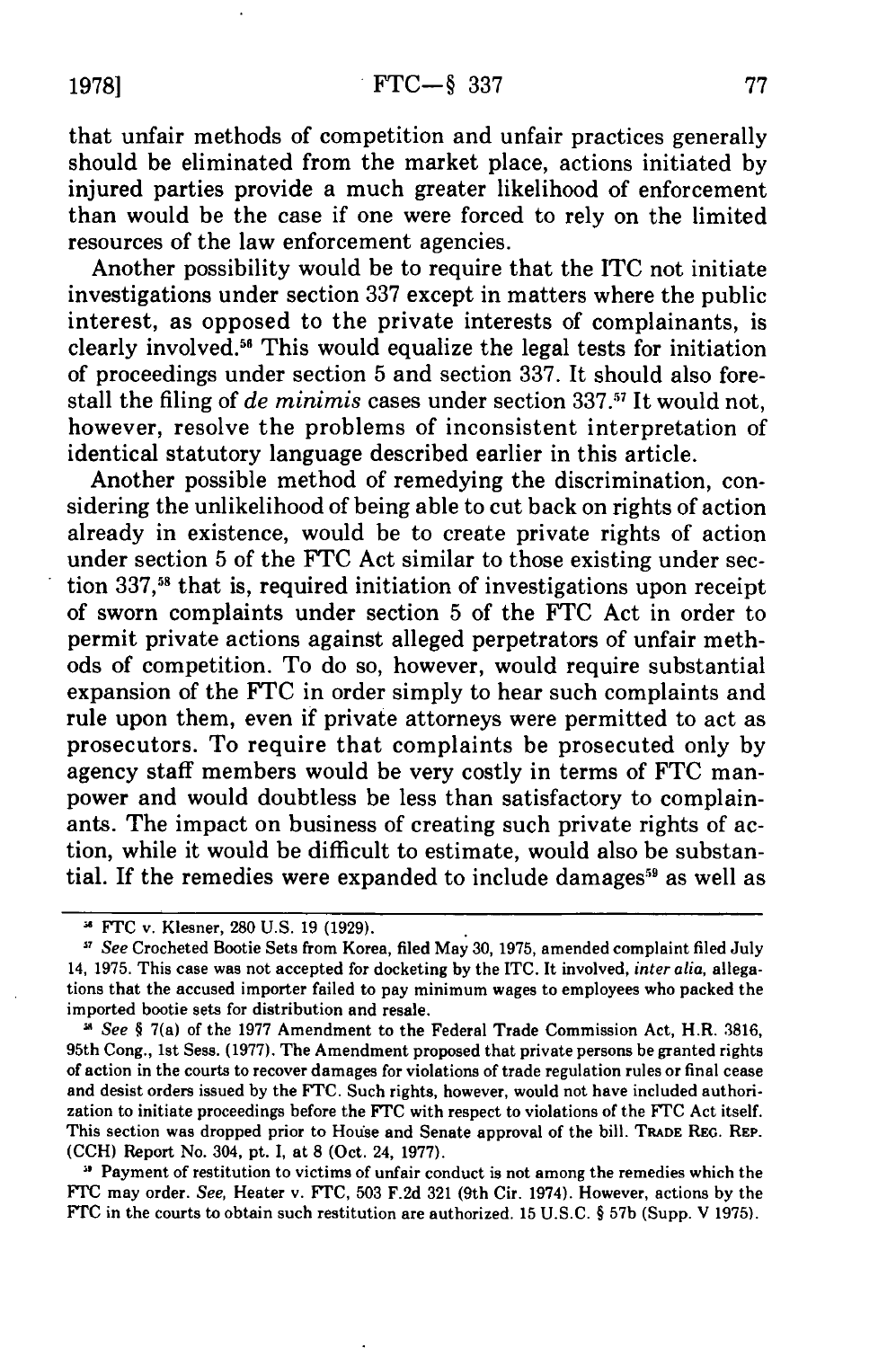that unfair methods of competition and unfair practices generally should be eliminated from the market place, actions initiated by injured parties provide a much greater likelihood of enforcement than would be the case if one were forced to rely on the limited resources of the law enforcement agencies.

Another possibility would be to require that the ITC not initiate investigations under section 337 except in matters where the public interest, as opposed to the private interests of complainants, is clearly involved." This would equalize the legal tests for initiation of proceedings under section 5 and section 337. It should also forestall the filing of *de minimis* cases under section 337.<sup>57</sup> It would not, however, resolve the problems of inconsistent interpretation of identical statutory language described earlier in this article.

Another possible method of remedying the discrimination, considering the unlikelihood of being able to cut back on rights of action already in existence, would be to create private rights of action under section 5 of the FTC Act similar to those existing under section  $337<sub>1</sub>$ <sup>58</sup> that is, required initiation of investigations upon receipt of sworn complaints under section 5 of the FTC Act in order to permit private actions against alleged perpetrators of unfair methods of competition. To do so, however, would require substantial expansion of the FTC in order simply to hear such complaints and rule upon them, even if private attorneys were permitted to act as prosecutors. To require that complaints be prosecuted only by agency staff members would be very costly in terms of FTC manpower and would doubtless be less than satisfactory to complainants. The impact on business of creating such private rights of action, while it would be difficult to estimate, would also be substantial. If the remedies were expanded to include damages<sup>59</sup> as well as

**51** Payment of restitution to victims of unfair conduct is not among the remedies which the FTC may order. *See,* Heater v. FTC, **503** F.2d **321** (9th Cir. 1974). However, actions by the FTC in the courts to obtain such restitution are authorized. **15** U.S.C. § **57b** (Supp. V **1975).**

FTC v. Klesner, **280** U.S. 19 (1929).

*See* Crocheted Bootie Sets from Korea, filed May 30, 1975, amended complaint filed July 14, 1975. This case was not accepted for docketing by the ITC. It involved, *inter alia,* allegations that the accused importer failed to pay minimum wages to employees who packed the imported bootie sets for distribution and resale.

*See §* 7(a) of the 1977 Amendment to the Federal Trade Commission Act, H.R. 3816, 95th Cong., 1st Sess. (1977). The Amendment proposed that private persons be granted rights of action in the courts to recover damages for violations of trade regulation rules or final cease and desist orders issued by the FTC. Such rights, however, would not have included authorization to initiate proceedings before the FTC with respect to violations of the **FTC** Act itself. This section was dropped prior to House and Senate approval of the bill. TRADE REG. REP. (CCH) Report No. 304, pt. **I,** at **8** (Oct. 24, 1977).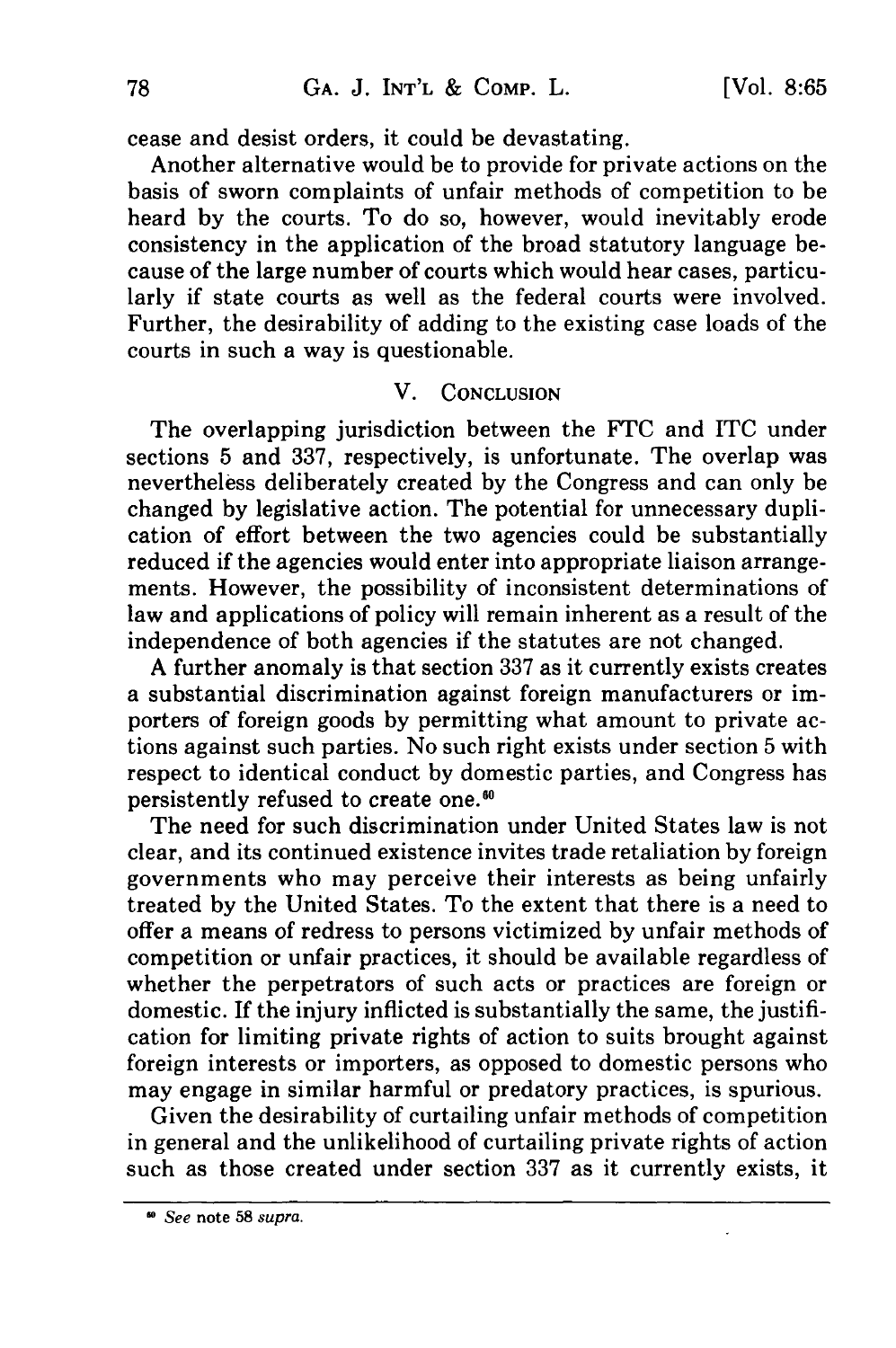cease and desist orders, it could be devastating.

Another alternative would be to provide for private actions on the basis of sworn complaints of unfair methods of competition to be heard by the courts. To do so, however, would inevitably erode consistency in the application of the broad statutory language because of the large number of courts which would hear cases, particularly if state courts as well as the federal courts were involved. Further, the desirability of adding to the existing case loads of the courts in such a way is questionable.

## V. CONCLUSION

The overlapping jurisdiction between the FTC and ITC under sections 5 and 337, respectively, is unfortunate. The overlap was nevertheless deliberately created by the Congress and can only be changed by legislative action. The potential for unnecessary duplication of effort between the two agencies could be substantially reduced if the agencies would enter into appropriate liaison arrangements. However, the possibility of inconsistent determinations of law and applications of policy will remain inherent as a result of the independence of both agencies if the statutes are not changed.

A further anomaly is that section 337 as it currently exists creates a substantial discrimination against foreign manufacturers or importers of foreign goods by permitting what amount to private actions against such parties. No such right exists under section 5 with respect to identical conduct by domestic parties, and Congress has persistently refused to create one.<sup>64</sup>

The need for such discrimination under United States law is not clear, and its continued existence invites trade retaliation by foreign governments who may perceive their interests as being unfairly treated by the United States. To the extent that there is a need to offer a means of redress to persons victimized by unfair methods of competition or unfair practices, it should be available regardless of whether the perpetrators of such acts or practices are foreign or domestic. If the injury inflicted is substantially the same, the justification for limiting private rights of action to suits brought against foreign interests or importers, as opposed to domestic persons who may engage in similar harmful or predatory practices, is spurious.

Given the desirability of curtailing unfair methods of competition in general and the unlikelihood of curtailing private rights of action such as those created under section 337 as it currently exists, it

See note **58** supra.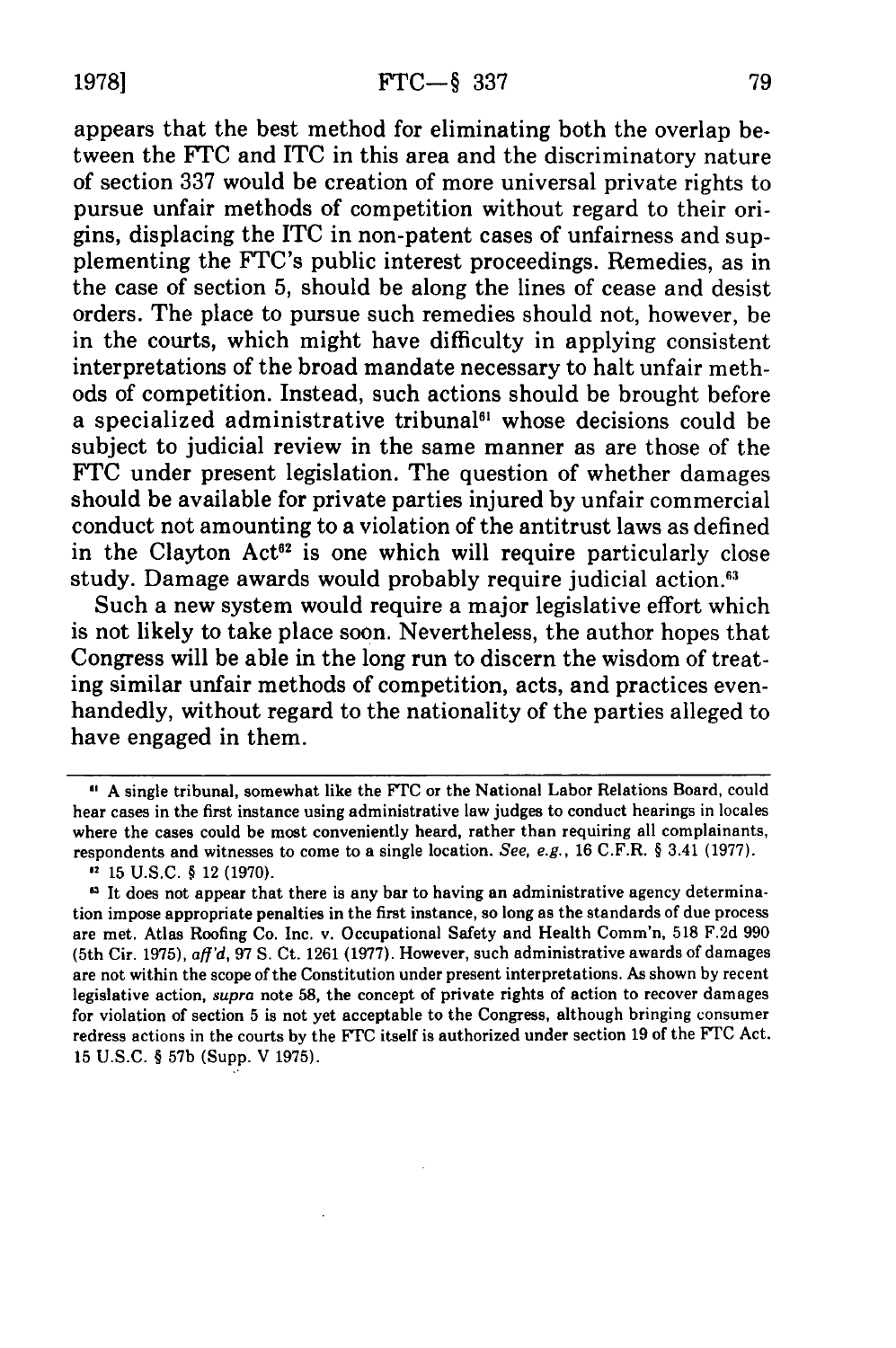appears that the best method for eliminating both the overlap between the FTC and ITC in this area and the discriminatory nature of section 337 would be creation of more universal private rights to pursue unfair methods of competition without regard to their origins, displacing the ITC in non-patent cases of unfairness and supplementing the FTC's public interest proceedings. Remedies, as in the case of section 5, should be along the lines of cease and desist orders. The place to pursue such remedies should not, however, be in the courts, which might have difficulty in applying consistent interpretations of the broad mandate necessary to halt unfair methods of competition. Instead, such actions should be brought before a specialized administrative tribunal<sup>61</sup> whose decisions could be subject to judicial review in the same manner as are those of the FTC under present legislation. The question of whether damages should be available for private parties injured by unfair commercial conduct not amounting to a violation of the antitrust laws as defined in the Clayton Act<sup>62</sup> is one which will require particularly close study. Damage awards would probably require judicial action.<sup>63</sup>

Such a new system would require a major legislative effort which is not likely to take place soon. Nevertheless, the author hopes that Congress will be able in the long run to discern the wisdom of treating similar unfair methods of competition, acts, and practices evenhandedly, without regard to the nationality of the parties alleged to have engaged in them.

<sup>&</sup>quot; A single tribunal, somewhat like the FrC or the National Labor Relations Board, could hear cases in the first instance using administrative law judges to conduct hearings in locales where the cases could be most conveniently heard, rather than requiring all complainants, respondents and witnesses to come to a single location. See, e.g., 16 C.F.R. § 3.41 (1977).

<sup>2</sup> **15** U.S.C. § 12 (1970).

<sup>&</sup>lt;sup>43</sup> It does not appear that there is any bar to having an administrative agency determination impose appropriate penalties in the first instance, so long as the standards of due process are met. Atlas Roofing Co. Inc. v. Occupational Safety and Health Comm'n, **518** F.2d **990** (5th Cir. **1975),** aff'd, 97 **S.** Ct. **1261 (1977).** However, such administrative awards of damages are not within the scope of the Constitution under present interpretations. As shown by recent legislative action, supra note **58,** the concept of private rights of action to recover damages for violation of section **5** is not yet acceptable to the Congress, although bringing consumer redress actions in the courts by the **FTC** itself is authorized under section **19** of the FTC Act. **15** U.S.C. § **57b** (Supp. V 1975).